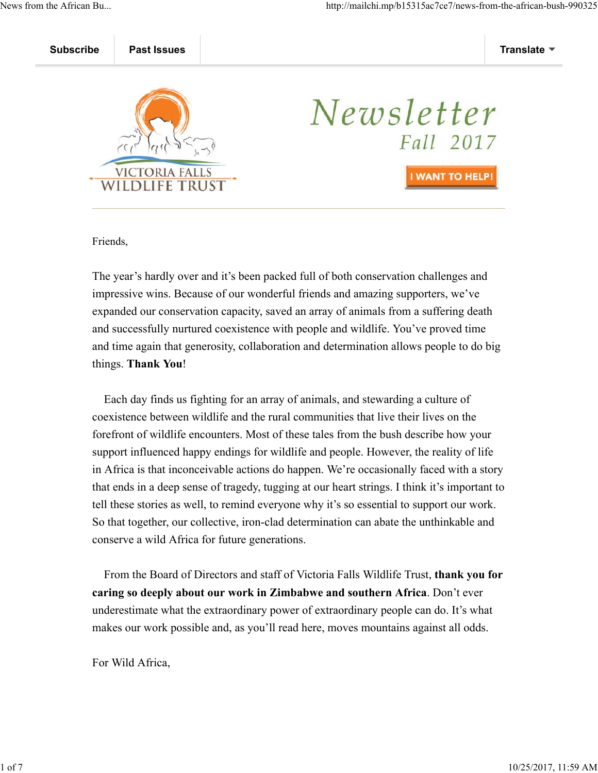

# Newsletter Fall 2017 **I WANT TO HELP**

Friends,

The year's hardly over and it's been packed full of both conservation challenges and impressive wins. Because of our wonderful friends and amazing supporters, we've expanded our conservation capacity, saved an array of animals from a suffering death and successfully nurtured coexistence with people and wildlife. You've proved time and time again that generosity, collaboration and determination allows people to do big things. **Thank You**!

 Each day finds us fighting for an array of animals, and stewarding a culture of coexistence between wildlife and the rural communities that live their lives on the forefront of wildlife encounters. Most of these tales from the bush describe how your support influenced happy endings for wildlife and people. However, the reality of life in Africa is that inconceivable actions do happen. We're occasionally faced with a story that ends in a deep sense of tragedy, tugging at our heart strings. I think it's important to tell these stories as well, to remind everyone why it's so essential to support our work. So that together, our collective, iron-clad determination can abate the unthinkable and conserve a wild Africa for future generations.

 From the Board of Directors and staff of Victoria Falls Wildlife Trust, **thank you for caring so deeply about our work in Zimbabwe and southern Africa**. Don't ever underestimate what the extraordinary power of extraordinary people can do. It's what makes our work possible and, as you'll read here, moves mountains against all odds.

For Wild Africa,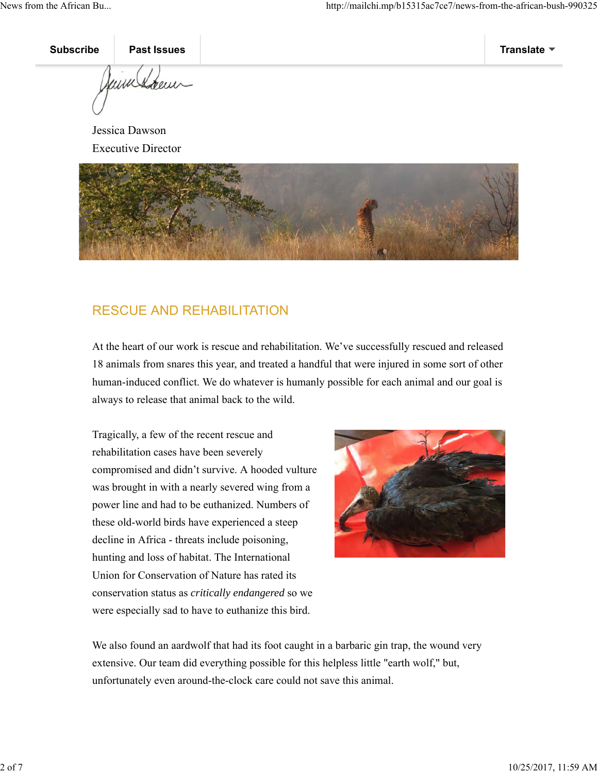underen

Jessica Dawson Executive Director



# RESCUE AND REHABILITATION

At the heart of our work is rescue and rehabilitation. We've successfully rescued and released 18 animals from snares this year, and treated a handful that were injured in some sort of other human-induced conflict. We do whatever is humanly possible for each animal and our goal is always to release that animal back to the wild.

Tragically, a few of the recent rescue and rehabilitation cases have been severely compromised and didn't survive. A hooded vulture was brought in with a nearly severed wing from a power line and had to be euthanized. Numbers of these old-world birds have experienced a steep decline in Africa - threats include poisoning, hunting and loss of habitat. The International Union for Conservation of Nature has rated its conservation status as *critically endangered* so we were especially sad to have to euthanize this bird.



We also found an aardwolf that had its foot caught in a barbaric gin trap, the wound very extensive. Our team did everything possible for this helpless little "earth wolf," but, unfortunately even around-the-clock care could not save this animal.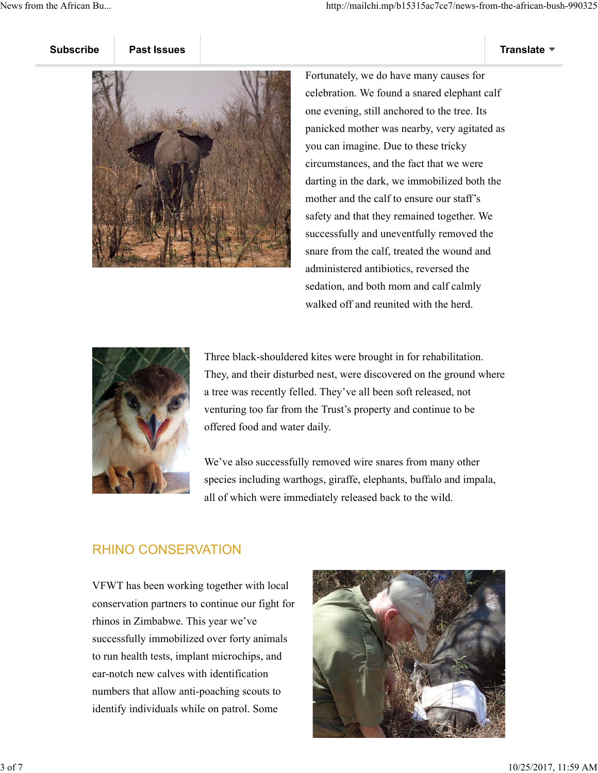Fortunately, we do have many causes for celebration. We found a snared elephant calf one evening, still anchored to the tree. Its panicked mother was nearby, very agitated as you can imagine. Due to these tricky circumstances, and the fact that we were darting in the dark, we immobilized both the mother and the calf to ensure our staff's safety and that they remained together. We successfully and uneventfully removed the snare from the calf, treated the wound and administered antibiotics, reversed the sedation, and both mom and calf calmly walked off and reunited with the herd.



Three black-shouldered kites were brought in for rehabilitation. They, and their disturbed nest, were discovered on the ground where a tree was recently felled. They've all been soft released, not venturing too far from the Trust's property and continue to be offered food and water daily.

We've also successfully removed wire snares from many other species including warthogs, giraffe, elephants, buffalo and impala, all of which were immediately released back to the wild.

## RHINO CONSERVATION

VFWT has been working together with local conservation partners to continue our fight for rhinos in Zimbabwe. This year we've successfully immobilized over forty animals to run health tests, implant microchips, and ear-notch new calves with identification numbers that allow anti-poaching scouts to identify individuals while on patrol. Some

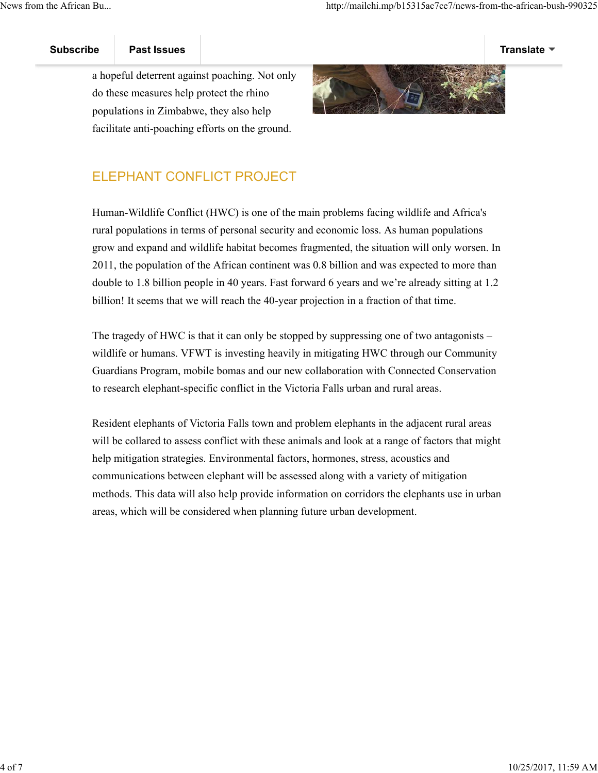

a hopeful deterrent against poaching. Not only do these measures help protect the rhino populations in Zimbabwe, they also help facilitate anti-poaching efforts on the ground.



# ELEPHANT CONFLICT PROJECT

Human-Wildlife Conflict (HWC) is one of the main problems facing wildlife and Africa's rural populations in terms of personal security and economic loss. As human populations grow and expand and wildlife habitat becomes fragmented, the situation will only worsen. In 2011, the population of the African continent was 0.8 billion and was expected to more than double to 1.8 billion people in 40 years. Fast forward 6 years and we're already sitting at 1.2 billion! It seems that we will reach the 40-year projection in a fraction of that time.

The tragedy of HWC is that it can only be stopped by suppressing one of two antagonists – wildlife or humans. VFWT is investing heavily in mitigating HWC through our Community Guardians Program, mobile bomas and our new collaboration with Connected Conservation to research elephant-specific conflict in the Victoria Falls urban and rural areas.

Resident elephants of Victoria Falls town and problem elephants in the adjacent rural areas will be collared to assess conflict with these animals and look at a range of factors that might help mitigation strategies. Environmental factors, hormones, stress, acoustics and communications between elephant will be assessed along with a variety of mitigation methods. This data will also help provide information on corridors the elephants use in urban areas, which will be considered when planning future urban development.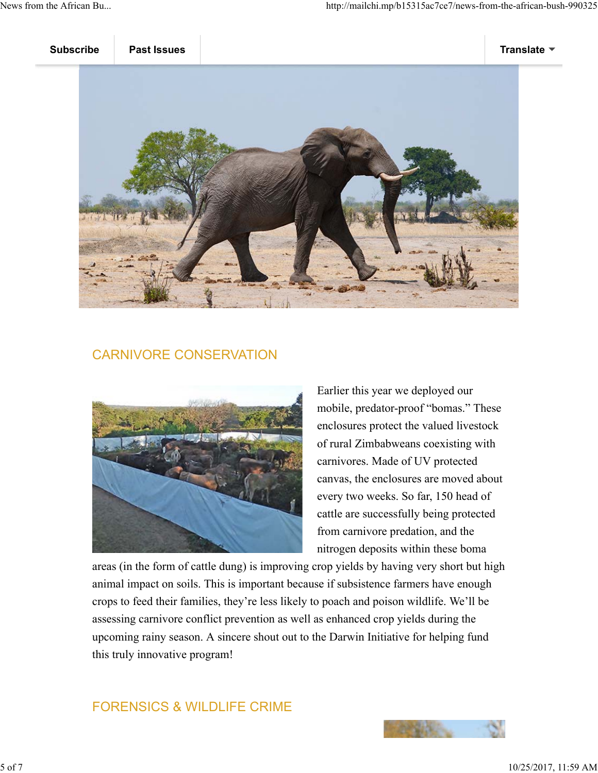

## CARNIVORE CONSERVATION



Earlier this year we deployed our mobile, predator-proof "bomas." These enclosures protect the valued livestock of rural Zimbabweans coexisting with carnivores. Made of UV protected canvas, the enclosures are moved about every two weeks. So far, 150 head of cattle are successfully being protected from carnivore predation, and the nitrogen deposits within these boma

areas (in the form of cattle dung) is improving crop yields by having very short but high animal impact on soils. This is important because if subsistence farmers have enough crops to feed their families, they're less likely to poach and poison wildlife. We'll be assessing carnivore conflict prevention as well as enhanced crop yields during the upcoming rainy season. A sincere shout out to the Darwin Initiative for helping fund this truly innovative program!

# FORENSICS & WILDLIFE CRIME

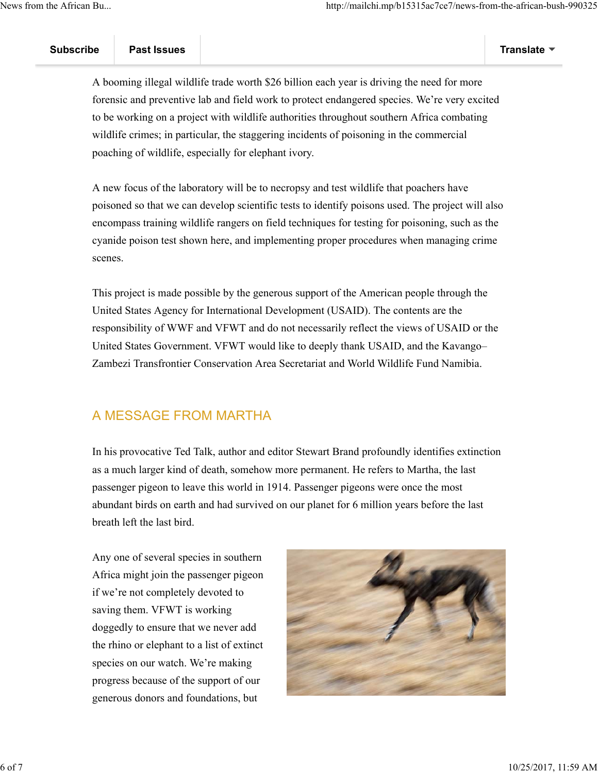A booming illegal wildlife trade worth \$26 billion each year is driving the need for more forensic and preventive lab and field work to protect endangered species. We're very excited to be working on a project with wildlife authorities throughout southern Africa combating wildlife crimes; in particular, the staggering incidents of poisoning in the commercial poaching of wildlife, especially for elephant ivory.

A new focus of the laboratory will be to necropsy and test wildlife that poachers have poisoned so that we can develop scientific tests to identify poisons used. The project will also encompass training wildlife rangers on field techniques for testing for poisoning, such as the cyanide poison test shown here, and implementing proper procedures when managing crime scenes.

This project is made possible by the generous support of the American people through the United States Agency for International Development (USAID). The contents are the responsibility of WWF and VFWT and do not necessarily reflect the views of USAID or the United States Government. VFWT would like to deeply thank USAID, and the Kavango– Zambezi Transfrontier Conservation Area Secretariat and World Wildlife Fund Namibia.

## A MESSAGE FROM MARTHA

In his provocative Ted Talk, author and editor Stewart Brand profoundly identifies extinction as a much larger kind of death, somehow more permanent. He refers to Martha, the last passenger pigeon to leave this world in 1914. Passenger pigeons were once the most abundant birds on earth and had survived on our planet for 6 million years before the last breath left the last bird.

Any one of several species in southern Africa might join the passenger pigeon if we're not completely devoted to saving them. VFWT is working doggedly to ensure that we never add the rhino or elephant to a list of extinct species on our watch. We're making progress because of the support of our generous donors and foundations, but